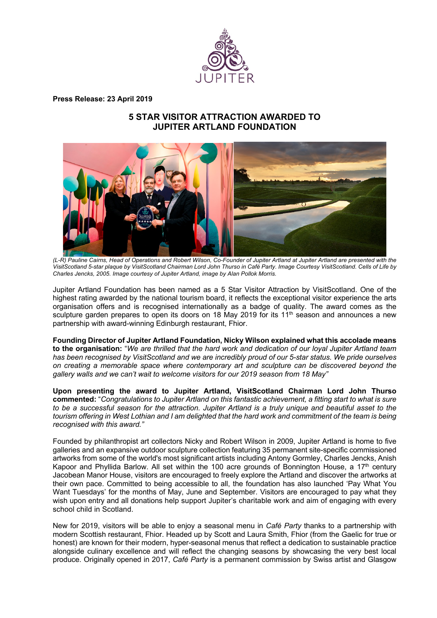

**Press Release: 23 April 2019** 

# **5 STAR VISITOR ATTRACTION AWARDED TO JUPITER ARTLAND FOUNDATION**



*(L-R) Pauline Cairns, Head of Operations and Robert Wilson, Co-Founder of Jupiter Artland at Jupiter Artland are presented with the VisitScotland 5-star plaque by VisitScotland Chairman Lord John Thurso in Café Party. Image Courtesy VisitScotland. Cells of Life by Charles Jencks, 2005. Image courtesy of Jupiter Artland, image by Alan Pollok Morris.*

Jupiter Artland Foundation has been named as a 5 Star Visitor Attraction by VisitScotland. One of the highest rating awarded by the national tourism board, it reflects the exceptional visitor experience the arts organisation offers and is recognised internationally as a badge of quality. The award comes as the sculpture garden prepares to open its doors on 18 May 2019 for its 11<sup>th</sup> season and announces a new partnership with award-winning Edinburgh restaurant, Fhior.

**Founding Director of Jupiter Artland Foundation, Nicky Wilson explained what this accolade means to the organisation:** "*We are thrilled that the hard work and dedication of our loyal Jupiter Artland team has been recognised by VisitScotland and we are incredibly proud of our 5-star status. We pride ourselves on creating a memorable space where contemporary art and sculpture can be discovered beyond the gallery walls and we can't wait to welcome visitors for our 2019 season from 18 May"*

**Upon presenting the award to Jupiter Artland, VisitScotland Chairman Lord John Thurso commented:** "*Congratulations to Jupiter Artland on this fantastic achievement, a fitting start to what is sure to be a successful season for the attraction. Jupiter Artland is a truly unique and beautiful asset to the tourism offering in West Lothian and I am delighted that the hard work and commitment of the team is being recognised with this award."*

Founded by philanthropist art collectors Nicky and Robert Wilson in 2009, Jupiter Artland is home to five galleries and an expansive outdoor sculpture collection featuring 35 permanent site-specific commissioned artworks from some of the world's most significant artists including Antony Gormley, Charles Jencks, Anish Kapoor and Phyllida Barlow. All set within the 100 acre grounds of Bonnington House, a 17<sup>th</sup> century Jacobean Manor House, visitors are encouraged to freely explore the Artland and discover the artworks at their own pace. Committed to being accessible to all, the foundation has also launched 'Pay What You Want Tuesdays' for the months of May, June and September. Visitors are encouraged to pay what they wish upon entry and all donations help support Jupiter's charitable work and aim of engaging with every school child in Scotland.

New for 2019, visitors will be able to enjoy a seasonal menu in *Café Party* thanks to a partnership with modern Scottish restaurant, Fhior. Headed up by Scott and Laura Smith, Fhior (from the Gaelic for true or honest) are known for their modern, hyper-seasonal menus that reflect a dedication to sustainable practice alongside culinary excellence and will reflect the changing seasons by showcasing the very best local produce. Originally opened in 2017, *Café Party* is a permanent commission by Swiss artist and Glasgow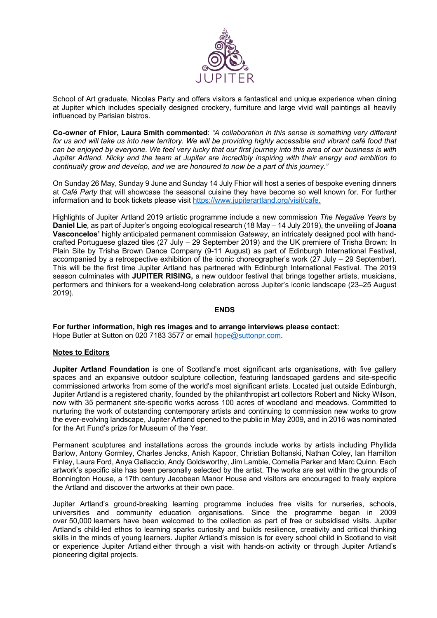

School of Art graduate, Nicolas Party and offers visitors a fantastical and unique experience when dining at Jupiter which includes specially designed crockery, furniture and large vivid wall paintings all heavily influenced by Parisian bistros.

**Co-owner of Fhior, Laura Smith commented**: *"A collaboration in this sense is something very different*  for us and will take us into new territory. We will be providing highly accessible and vibrant café food that *can be enjoyed by everyone. We feel very lucky that our first journey into this area of our business is with Jupiter Artland. Nicky and the team at Jupiter are incredibly inspiring with their energy and ambition to continually grow and develop, and we are honoured to now be a part of this journey."*

On Sunday 26 May, Sunday 9 June and Sunday 14 July Fhior will host a series of bespoke evening dinners at *Café Party* that will showcase the seasonal cuisine they have become so well known for. For further information and to book tickets please visit https://www.jupiterartland.org/visit/cafe.

Highlights of Jupiter Artland 2019 artistic programme include a new commission *The Negative Years* by **Daniel Lie***,* as part of Jupiter's ongoing ecological research (18 May – 14 July 2019), the unveiling of **Joana Vasconcelos'** highly anticipated permanent commission *Gateway*, an intricately designed pool with handcrafted Portuguese glazed tiles (27 July – 29 September 2019) and the UK premiere of Trisha Brown: In Plain Site by Trisha Brown Dance Company (9-11 August) as part of Edinburgh International Festival, accompanied by a retrospective exhibition of the iconic choreographer's work (27 July – 29 September). This will be the first time Jupiter Artland has partnered with Edinburgh International Festival. The 2019 season culminates with **JUPITER RISING,** a new outdoor festival that brings together artists, musicians, performers and thinkers for a weekend-long celebration across Jupiter's iconic landscape (23–25 August 2019).

#### **ENDS**

**For further information, high res images and to arrange interviews please contact:**  Hope Butler at Sutton on 020 7183 3577 or email hope@suttonpr.com.

## **Notes to Editors**

**Jupiter Artland Foundation** is one of Scotland's most significant arts organisations, with five gallery spaces and an expansive outdoor sculpture collection, featuring landscaped gardens and site-specific commissioned artworks from some of the world's most significant artists. Located just outside Edinburgh, Jupiter Artland is a registered charity, founded by the philanthropist art collectors Robert and Nicky Wilson, now with 35 permanent site-specific works across 100 acres of woodland and meadows. Committed to nurturing the work of outstanding contemporary artists and continuing to commission new works to grow the ever-evolving landscape, Jupiter Artland opened to the public in May 2009, and in 2016 was nominated for the Art Fund's prize for Museum of the Year.

Permanent sculptures and installations across the grounds include works by artists including Phyllida Barlow, Antony Gormley, Charles Jencks, Anish Kapoor, Christian Boltanski, Nathan Coley, Ian Hamilton Finlay, Laura Ford, Anya Gallaccio, Andy Goldsworthy, Jim Lambie, Cornelia Parker and Marc Quinn. Each artwork's specific site has been personally selected by the artist. The works are set within the grounds of Bonnington House, a 17th century Jacobean Manor House and visitors are encouraged to freely explore the Artland and discover the artworks at their own pace.

Jupiter Artland's ground-breaking learning programme includes free visits for nurseries, schools, universities and community education organisations. Since the programme began in 2009 over 50,000 learners have been welcomed to the collection as part of free or subsidised visits. Jupiter Artland's child-led ethos to learning sparks curiosity and builds resilience, creativity and critical thinking skills in the minds of young learners. Jupiter Artland's mission is for every school child in Scotland to visit or experience Jupiter Artland either through a visit with hands-on activity or through Jupiter Artland's pioneering digital projects.